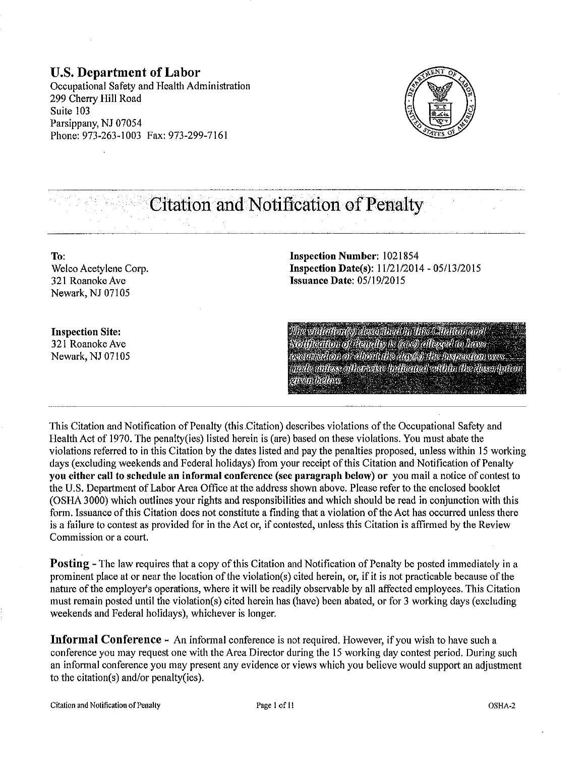**U.S. Department of Labor**  Occupational Safety and Health Administration 299 Cherry **Hill** Road Suite 103 Parsippany, NJ 07054 Phone: 973-263-l 003 Fax: 973-299-7161



# **Citation and Notification of Penalty**

**To:**  Welco Acetylene Corp. 321 Roanoke Ave Newark, NJ 07105

**Inspection Number:** 1021854 **Inspection Date(s):**  $11/21/2014 - 05/13/2015$ **Issuance Date:** 05/19/2015

**Inspection Site:**  321 Roanoke Ave Newark, NJ 07105

Whe violetton(s)) described in this Citetion and **Notification of Panelly is ((arc) allaged to have** occumedion or about the day(s) the insizenon was mede millers ofherwise indiferted within the description sisten below.

This Citation and Notification of Penalty (this Citation) describes violations of the Occupational Safety and Health Act of 1970. The penalty(ies) listed herein is (are) based on these violations. You must abate the violations referred to in this Citation by the dates listed and pay the penalties proposed, unless within 15 working days (excluding weekends and Federal holidays) from your receipt of this Citation and Notification of Penalty **you either call to schedule an informal conference** (see **paragraph below) or** you mail a notice of contest to the U.S. Department of Labor Area Office at the address shown above. Please refer to the enclosed booklet (OSHA 3000) which outlines your rights and responsibilities and which should be read in conjunction with this form. Issuance of this Citation does not constitute a finding that a violation of the Act has occurred unless there is a failure to contest as provided for in the Act or, if contested, unless this Citation is affirmed by the Review Commission or a court.

**Posting** - The law requires that a copy of this Citation and Notification of Penalty be posted immediately in a prominent place at or near the location of the violation(s) cited herein, or, if it is not practicable because of the nature of the employer's operations, where it will be readily observable by all affected employees. This Citation must remain posted until the violation(s) cited herein has (have) been abated, or for 3 working days (excluding weekends and Federal holidays), whichever is longer.

**Informal Conference-** An informal conference is not required. However, if you wish to have such a conference you may request one with the Area Director during the 15 working day contest period. During such an informal conference you may present any evidence or views which you believe would support an adjustment to the citation(s) and/or penalty(ies).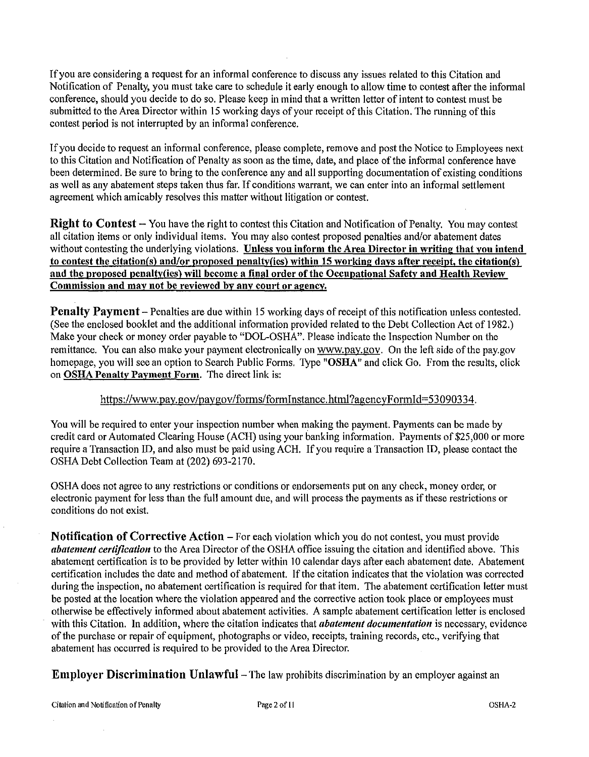If you are considering a request for an informal conference to discuss any issues related to this Citation and Notification of Penalty, you must take care to schedule it early enough to allow time to contest after the informal conference, should you decide to do so. Please keep in mind that a written letter of intent to contest must be submitted to the Area Director within 15 working days of your receipt of this Citation. The running of this contest period is not interrupted by an informal conference.

If you decide to request an informal conference, please complete, remove and post the Notice to Employees next to this Citation and Notification of Penalty as soon as the time, date, and place of the informal conference have been determined. Be sure to bring to the conference any and all supporting documentation of existing conditions as well as any abatement steps taken thus far. If conditions warrant, we can enter into an informal settlement agreement which amicably resolves this matter without litigation or contest.

Right to Contest- You have the right to contest this Citation and Notification of Penalty. You may contest all citation items or only individual items. You may also contest proposed penalties and/or abatement dates without contesting the underlying violations. Unless you inform the Area Director in writing that you intend to contest the citation(s) and/or proposed penalty(ies) within 15 working days after receipt, the citation(s) and the proposed penalty(ies) will become a final order of the Occupational Safety and Health Review Commission and may not be reviewed by any court or agency.

Penalty Payment - Penalties are due within 15 working days of receipt of this notification unless contested. (See the enclosed booklet and the additional information provided related to the Debt Collection Act of 1982.) Make your check or money order payable to "DOL-OSHA". Please indicate the Inspection Number on the remittance. You can also make your payment electronically on www.pay.gov. On the left side of the pay.gov homepage, you will see an option to Search Public Forms. Type "OSHA" and click Go. From the results, click on OSHA Penalty Payment Form. The direct link is:

#### https://www.pay.gov/paygov/forms/formlnstance.html?agencyFormid=S3090334.

You will be required to enter your inspection number when making the payment. Payments can be made by credit card or Automated Clearing House (ACH) using your banking information. Payments of \$25,000 or more require a Transaction ID, and also must be paid usingACH. If you require a Transaction ID, please contact the OSHA Debt Collection Team at (202) 693-2170.

OSHA does not agree to any restrictions or conditions or endorsements put on any check, money order, or electronic payment for less than the full amount due, and will process the payments as if these restrictions or conditions do not exist.

Notification of Corrective Action- For each violation which you do not contest, you must provide *abatement certification* to the Area Director of the OSHA office issuing the citation and identified above. This abatement certification is to be provided by letter within 10 calendar days after each abatement date. Abatement certification includes the date and method of abatement. If the citation indicates that the violation was corrected during the inspection, no abatement certification is required for that item. The abatement certification letter must be posted at the location where the violation appeared and the corrective action took place or employees must otherwise be effectively informed about abatement activities. A sample abatement certification letter is enclosed with this Citation. In addition, where the citation indicates that *abatement documentation* is necessary, evidence of the purchase or repair of equipment, photographs or video, receipts, training records, etc., verifying that abatement has occurred is required to be provided to the Area Director.

Employer Discrimination Unlawful- The law prohibits discrimination by an employer against an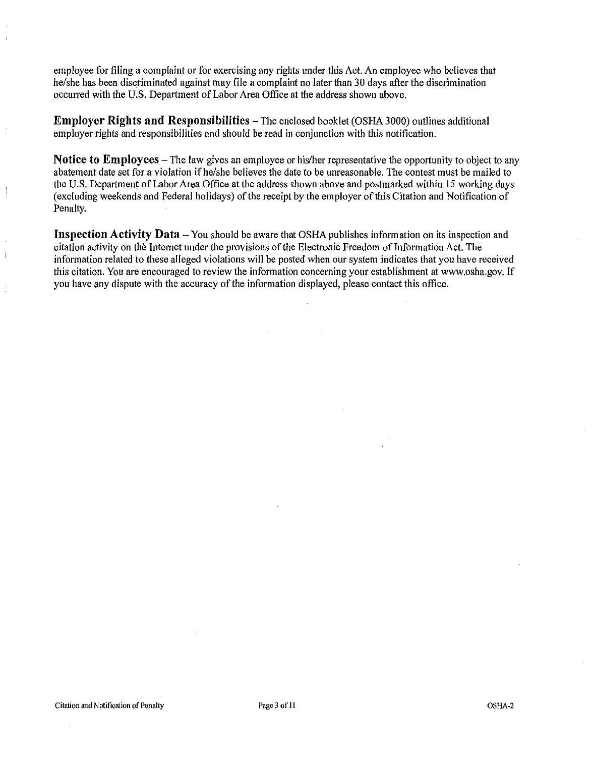employee for filing a complaint or for exercising any rights under this Act. An employee who believes that he/she has been discriminated against may file a complaint no later than 30 days after the discrimination occurred with the U.S. Department of Labor Area Office at the address shown above.

**Employer Rights and Responsibilities** – The enclosed booklet (OSHA 3000) outlines additional employer rights and responsibilities and should be read in conjunction with this notification.

**Notice to Employees-** The law gives an employee or his/her representative the opportunity to object to any abatement date set for a violation if he/she believes the date to be unreasonable. The contest must be mailed to the U.S. Department of Labor Area Office at the address shown above and postmarked within 15 working days (excluding weekends and Federal holidays) of the receipt by the employer of this Citation and Notification of Penalty.

**Inspection Activity Data** - You should be aware that OSHA publishes information on its inspection and citation activity on the Internet under the provisions of the Electronic Freedom oflnformation Act. The information related to these alleged violations will be posted when our system indicates that you have received this citation. You are encouraged to review the information concerning your establishment at www.osha.gov. If you have any dispute with the accuracy of the information displayed, please contact this office.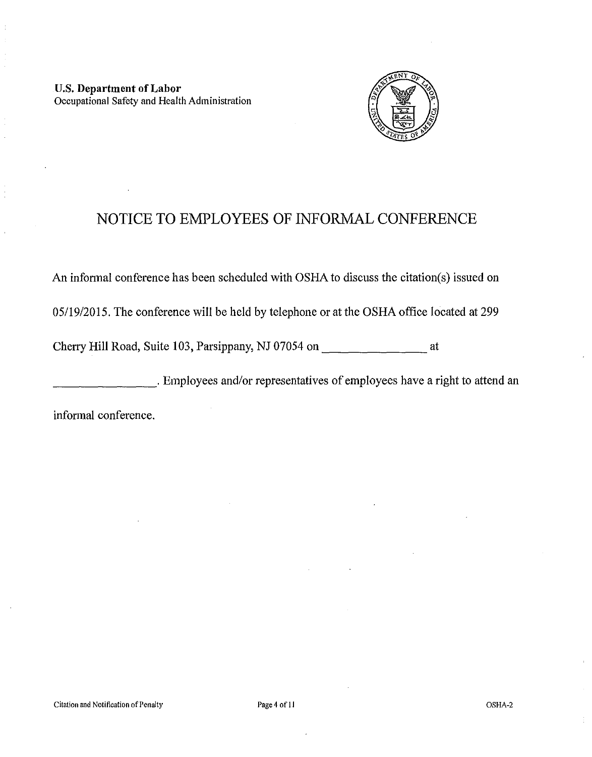

# NOTICE TO EMPLOYEES OF INFORMAL CONFERENCE

An informal conference has been scheduled with OSHA to discuss the citation(s) issued on

05/19/2015. The conference will be held by telephone or at the OSHA office located at 299

Cherry Hill Road, Suite 103, Parsippany, NJ 07054 on  $\frac{1}{\sqrt{1-\frac{1}{\sqrt{1-\frac{1}{\sqrt{1-\frac{1}{\sqrt{1-\frac{1}{\sqrt{1-\frac{1}{\sqrt{1-\frac{1}{\sqrt{1-\frac{1}{\sqrt{1-\frac{1}{\sqrt{1-\frac{1}{\sqrt{1-\frac{1}{\sqrt{1-\frac{1}{\sqrt{1-\frac{1}{\sqrt{1-\frac{1}{\sqrt{1-\frac{1}{\sqrt{1-\frac{1}{\sqrt{1-\frac{1}{\sqrt{1-\frac{1}{\sqrt{1-\frac{1}{$ 

**Employees and/or representatives of employees have a right to attend an** 

informal conference.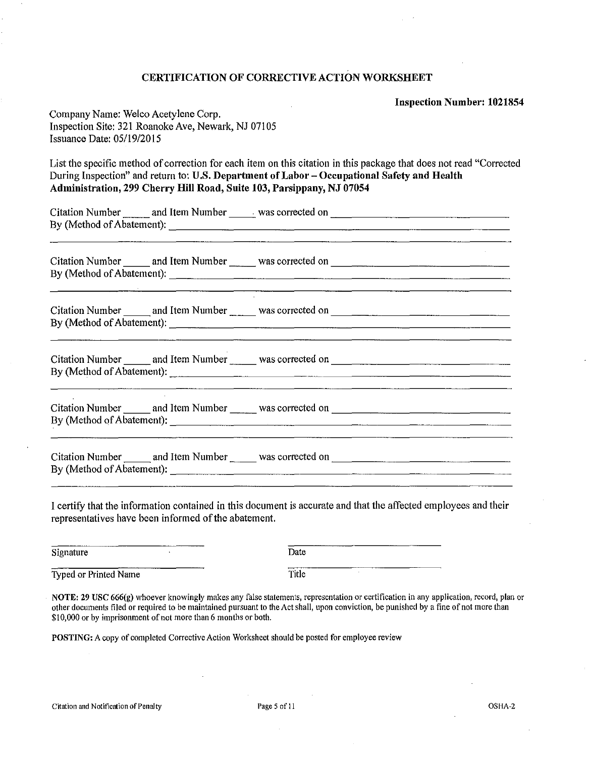#### CERTIFICATION OF CORRECTIVE ACTION WORKSHEET

Inspection Number: 1021854

| Company Name: Welco Acetylene Corp.                |
|----------------------------------------------------|
| Inspection Site: 321 Roanoke Ave, Newark, NJ 07105 |
| Issuance Date: $05/19/2015$                        |

List the specific method of correction for each item on this citation in this package that does not read "Corrected During Inspection" and return to: U.S. Department of Labor- Occupational Safety and Health Administration, 299 Cherry Hill Road, Suite 103, Parsippany, NJ 07054

|  | <u> 1980 - Jan Barat, margaret a shekara 1980 - San A</u>                                                                                                                                                                            |  |
|--|--------------------------------------------------------------------------------------------------------------------------------------------------------------------------------------------------------------------------------------|--|
|  | <u> Louis Communication and the communication of the communication of the communication of the communication of the communication of the communication of the communication of the communication of the communication of the com</u> |  |
|  |                                                                                                                                                                                                                                      |  |
|  |                                                                                                                                                                                                                                      |  |
|  | <u> 1980 - Jan Salam Barat, masa karena dan berasal dan berasal dalam berasal dalam berasal dalam berasal dalam b</u>                                                                                                                |  |
|  |                                                                                                                                                                                                                                      |  |

I certify that the information contained in this document is accurate and that the affected employees and their representatives have been informed of the abatement.

| ----------------<br>Signature           | _________ | ________<br><b>SERVICE CONTINUES</b><br>Date |
|-----------------------------------------|-----------|----------------------------------------------|
| --------------<br>Typed or Printed Name | _________ | -----<br>Title                               |

**NOTE:** 29 USC 666(g) whoever knowingly makes any false statements, representation or certification in any application, record, plan or other documents tiled or required to be maintained pursuant to the Act shall, upon conviction, be punished by a fine of not more than \$10,000 or by imprisonment of not more than 6 months or both.

POSTING: A copy of completed Corrective Action Worksheet should be posted for employee review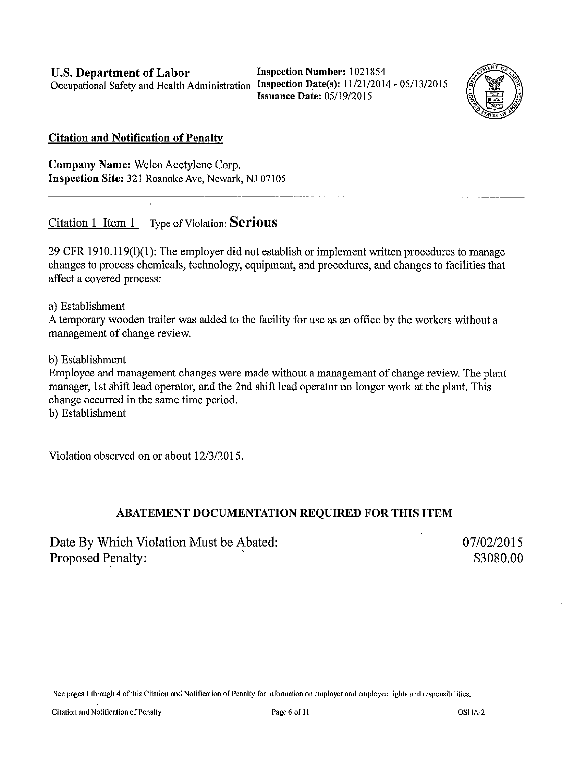U.S. Department of Labor Occupational Safety and Health Administration Inspection Date(s): 11/21/2014-05/13/2015

Inspection Number: 1021854 Issuance Date: 05/19/2015



#### Citation and Notification of Penalty

Company Name: Welco Acetylene Corp. Inspection Site: 321 Roanoke Ave, Newark, NJ 07105

Citation 1 Item 1 Type of Violation: Serious

29 CFR 1910.119(1)(1): The employer did not establish or implement written procedures to manage changes to process chemicals, technology, equipment, and procedures, and changes to facilities that affect a covered process:

a) Establishment

A temporary wooden trailer was added to the facility for use as an office by the workers without a management of change review.

b) Establishment

Employee and management changes were made without a management of change review. The plant manager, 1st shift lead operator, and the 2nd shift lead operator no longer work at the plant. This change occurred in the same time period.

b) Establishment

Violation observed on or about 12/3/2015.

### ABATEMENT DOCUMENTATION REQUIRED FOR THIS ITEM

Date By Which Violation Must be Abated: Proposed Penalty:

07/02/2015 \$3080.00

See pages 1 through 4 of this Citation and Notification of Penalty for information on employer and employee rights and responsibilities.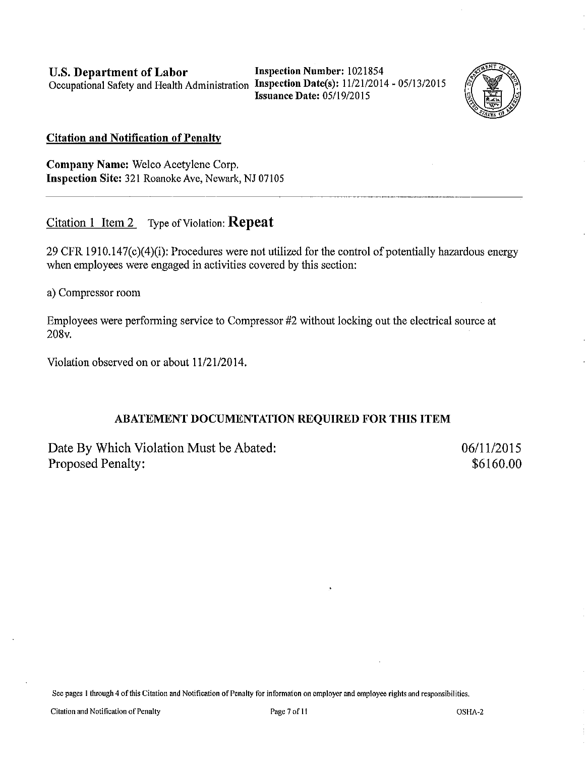U.S. Department of Labor Occupational Safety and Health Administration Inspection Date(s): 11/21/2014 - 05/13/2015

Inspection Number: 1021854 Issuance Date: 05/19/2015



~-------~--~----~----~----------~-~- ----

#### Citation and Notification of Penalty

Company Name: Welco Acetylene Corp. Inspection Site: 321 Roanoke Ave, Newark, NJ 07105

Citation 1 Item 2 Type of Violation: Repeat

29 CFR 1910.147(c)(4)(i): Procedures were not utilized for the control of potentially hazardous energy when employees were engaged in activities covered by this section:

a) Compressor room

Employees were performing service to Compressor #2 without locking out the electrical source at 208v.

Violation observed on or about  $11/21/2014$ .

#### ABATEMENT DOCUMENTATION REQUIRED FOR THIS ITEM

Date By Which Violation Must be Abated: Proposed Penalty:

06/11/2015 \$6160.00

See pages I through 4 of this Citation and Notification of Penalty for in formaton on employer and employee rights and responsibilities.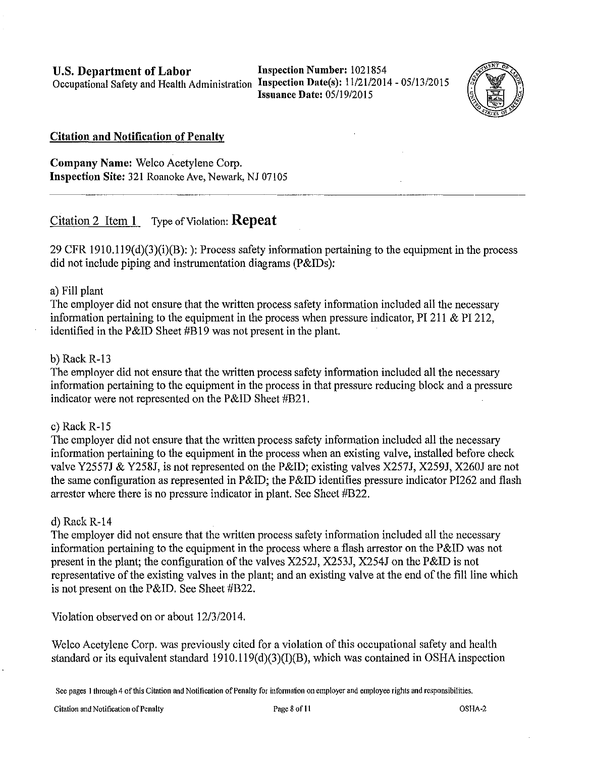**Issuance Date:** 05/19/2015



#### **Citation and Notification of Penalty**

**Company Name:** Welco Acetylene Corp. **Inspection Site:** 321 Roanoke Ave, Newark, NJ 07105

### Citation 2 Item **1** Type of Violation: **Repeat**

29 CFR 1910.119(d)(3)(i)(B): ): Process safety information pertaining to the equipment in the process did not include piping and instrumentation diagrams (P&IDs):

#### a) Fill plant

The employer did not ensure that the written process safety information included all the necessary information pertaining to the equipment in the process when pressure indicator, PI 211  $\&$  PI 212, identified in the P&ID Sheet #B19 was not present in the plant.

#### b) Rack R-13

The employer did not ensure that the written process safety information included all the necessary information pertaining to the equipment in the process in that pressure reducing block and a pressure indicator were not represented on the P&ID Sheet #B21.

#### c) Rack R-15

The employer did not ensure that the written process safety information included all the necessary information pertaining to the equipment in the process when an existing valve, installed before check valve Y2557J & Y258J, is not represented on the P&ID; existing valves X257J, X259J, X260J are not the same configuration as represented in P&ID; the P&ID identifies pressure indicator PI262 and flash arrester where there is no pressure indicator in plant. See Sheet #B22.

#### d) Rack  $R-14$

The employer did not ensure that the written process safety information included all the necessary information pertaining to the equipment in the process where a flash arrestor on the  $P\&ID$  was not present in the plant; the configuration of the valves X252J, X253J, X254J on the P&ID is not representative of the existing valves in the plant; and an existing valve at the end of the fill line which is not present on the P&ID. See Sheet #B22.

Violation observed on or about 12/3/2014.

Welco Acetylene Corp. was previously cited for a violation of this occupational safety and health standard or its equivalent standard  $1910.119(d)(3)(I)(B)$ , which was contained in OSHA inspection

See pages 1 through 4 of this Citation and Notification of Penalty for information on employer and employee rights and responsibilities.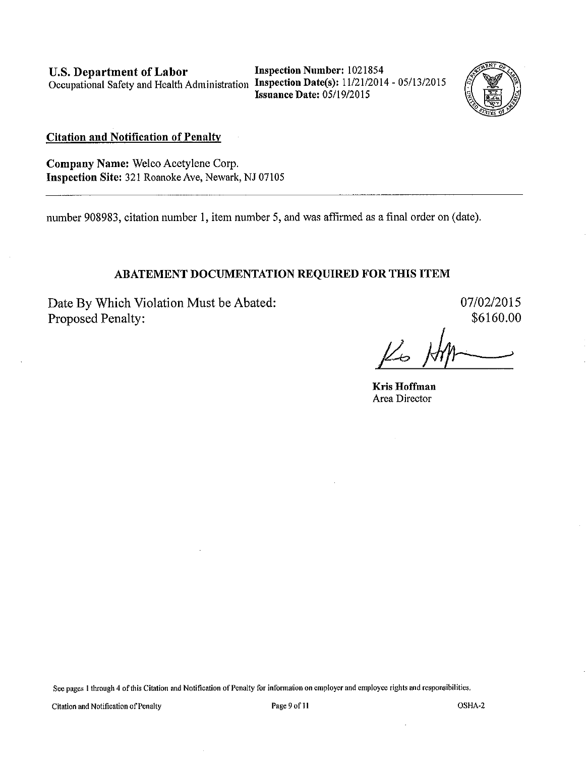U.S. Department of Labor Occupational Safety and Health Administration Inspection Date(s): 11/21/2014 - 05/13/2015

Inspection Number: 1021854 Issuance Date: 05/19/20 IS



Citation and Notification of Penalty

Company Name: Welco Acetylene Corp. Inspection Site: 321 Roanoke Ave, Newark, NJ 07105

number 908983, citation number I, item number 5, and was affirmed as a final order on (date).

#### ABATEMENT DOCUMENTATION REQUIRED FOR THIS ITEM

Date By Which Violation Must be Abated: Proposed Penalty:

07/02/2015 \$6160.00

*!?the:* 

Kris Hoffman Area Director

See pages 1 through 4 of this Citation and Notification of Penalty for information on employer and employee rights and responsibilities.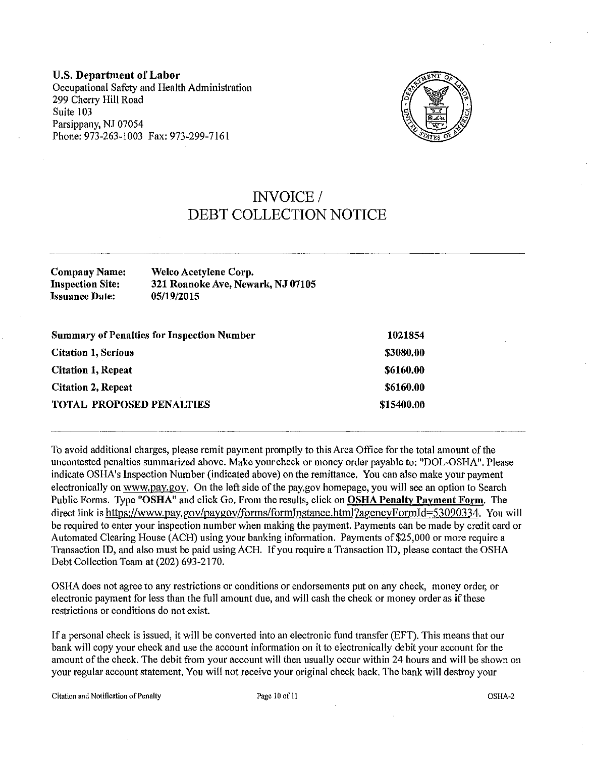U.S. Department of Labor Occupational Safety and Health Administration 299 Cherry Hill Road Suite 103 Parsippany, NJ 07054 Phone: 973-263-1003 Fax: 973-299-7161



## INVOICE/ DEBT COLLECTION NOTICE

| Company Name:           | Welco Acetylene Corp.             |
|-------------------------|-----------------------------------|
| <b>Inspection Site:</b> | 321 Roanoke Ave, Newark, NJ 07105 |
| <b>Issuance Date:</b>   | 05/19/2015                        |
|                         |                                   |

| <b>Summary of Penalties for Inspection Number</b> | 1021854    |  |
|---------------------------------------------------|------------|--|
| <b>Citation 1, Serious</b>                        | \$3080.00  |  |
| <b>Citation 1, Repeat</b>                         | \$6160,00  |  |
| <b>Citation 2, Repeat</b>                         | \$6160.00  |  |
| <b>TOTAL PROPOSED PENALTIES</b>                   | \$15400.00 |  |
|                                                   |            |  |
|                                                   |            |  |

To avoid additional charges, please remit payment promptly to this Area Office for the total amount of the uncontested penalties summarized above. Make your check or money order payable to: "DOL-OSHA". Please indicate OSHA's Inspection Number (indicated above) on the remittance. You can also make your payment electronically on www.pay.gov. On the left side of the pay.gov homepage, you will see an option to Search Public Forms. Type "OSHA" and click Go. From the results, click on OSHA Penalty Payment Form. The direct link is https://www.pay.gov/paygov/forms/formInstance.html?agencyFormId=53090334. You will be required to enter your inspection number when making the payment. Payments can be made by credit card or Automated Clearing House (ACH) using your banking information. Payments of \$25,000 or more require a Transaction ID, and also must be paid using ACH. If you require a Transaction ID, please contact the OSHA Debt Collection Team at (202) 693-2170.

OSHA does not agree to any restrictions or conditions or endorsements put on any check, money order, or electronic payment for less than the full amount due, and will cash the check or money order as if these restrictions or conditions do not exist.

If a personal check is issued, it will be converted into an electronic fund transfer (EFT). This means that our bank will copy your check and use the account information on it to electronically debit your account for the amount of the check. The debit from your account will then usually occur within 24 hours and will be shown on your regular account statement. You will not receive your original check back. The bank will destroy your